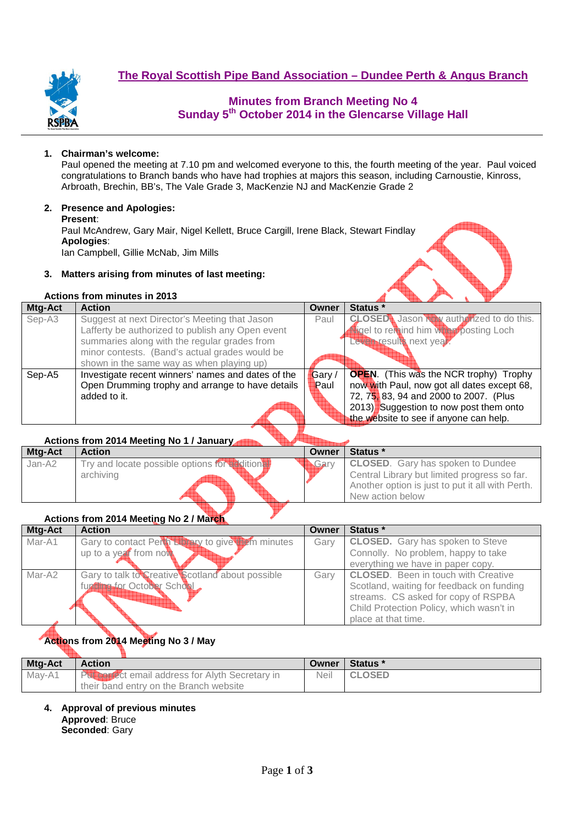

# **Minutes from Branch Meeting No 4 Sunday 5th October 2014 in the Glencarse Village Hall**

### **1. Chairman's welcome:**

Paul opened the meeting at 7.10 pm and welcomed everyone to this, the fourth meeting of the year. Paul voiced congratulations to Branch bands who have had trophies at majors this season, including Carnoustie, Kinross, Arbroath, Brechin, BB's, The Vale Grade 3, MacKenzie NJ and MacKenzie Grade 2

### **2. Presence and Apologies:**

**Present**: Paul McAndrew, Gary Mair, Nigel Kellett, Bruce Cargill, Irene Black, Stewart Findlay **Apologies**: Ian Campbell, Gillie McNab, Jim Mills

### **3. Matters arising from minutes of last meeting:**

### **Actions from minutes in 2013**

| Mtg-Act | <b>Action</b>                                      | Owner | Status *                                       |
|---------|----------------------------------------------------|-------|------------------------------------------------|
| Sep-A3  | Suggest at next Director's Meeting that Jason      | Paul  | <b>CLOSED</b> Jason New authorized to do this. |
|         | Lafferty be authorized to publish any Open event   |       | sigel to remind him with posting Loch          |
|         | summaries along with the regular grades from       |       | Leven results next year.                       |
|         | minor contests. (Band's actual grades would be     |       |                                                |
|         | shown in the same way as when playing up)          |       |                                                |
| Sep-A5  | Investigate recent winners' names and dates of the | Gary/ | <b>OPEN.</b> (This was the NCR trophy) Trophy  |
|         | Open Drumming trophy and arrange to have details   | Paul  | now with Paul, now got all dates except 68,    |
|         | added to it.                                       |       | 72, 75, 83, 94 and 2000 to 2007. (Plus         |
|         |                                                    |       | 2013) Suggestion to now post them onto         |
|         |                                                    |       | the website to see if anyone can help.         |

### **Actions from 2014 Meeting No 1 / January**

| Mtg-Act | <b>Action</b>                                  | Owner         | Status *                                         |
|---------|------------------------------------------------|---------------|--------------------------------------------------|
| Jan-A2  | Try and locate possible options for additional | <b>A</b> Garv | <b>CLOSED.</b> Gary has spoken to Dundee         |
|         | archiving                                      |               | Central Library but limited progress so far.     |
|         |                                                |               | Another option is just to put it all with Perth. |
|         |                                                |               | New action below                                 |

### **Actions from 2014 Meeting No 2 / March**

| Mtg-Act | <b>Action</b>                                     | Owner | Status *                                   |
|---------|---------------------------------------------------|-------|--------------------------------------------|
| Mar-A1  | Gary to contact Perth Ethney to give them minutes | Gary  | <b>CLOSED.</b> Gary has spoken to Steve    |
|         | up to a year from not                             |       | Connolly. No problem, happy to take        |
|         |                                                   |       | everything we have in paper copy.          |
| Mar-A2  | Gary to talk to Creative Scotland about possible  | Garv  | <b>CLOSED.</b> Been in touch with Creative |
|         | function for October School                       |       | Scotland, waiting for feedback on funding  |
|         |                                                   |       | streams. CS asked for copy of RSPBA        |
|         |                                                   |       | Child Protection Policy, which wasn't in   |
|         |                                                   |       | place at that time.                        |

# **Actions from 2014 Meeting No 3 / May**

| Mtg-Act | <b>Action</b>                                                                                     | Owner | Status *      |
|---------|---------------------------------------------------------------------------------------------------|-------|---------------|
| Mav-A1  | <b>PUT For Ect email address for Alyth Secretary in</b><br>their band entry on the Branch website | Neil  | <b>CLOSED</b> |

**4. Approval of previous minutes Approved**: Bruce **Seconded**: Gary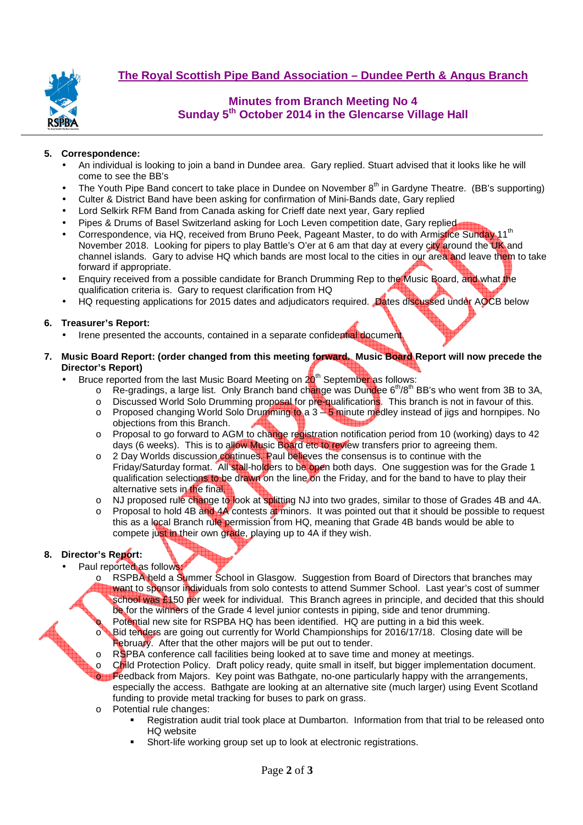

## **Minutes from Branch Meeting No 4 Sunday 5th October 2014 in the Glencarse Village Hall**

#### **5. Correspondence:**

- An individual is looking to join a band in Dundee area. Gary replied. Stuart advised that it looks like he will come to see the BB's
- The Youth Pipe Band concert to take place in Dundee on November 8<sup>th</sup> in Gardyne Theatre. (BB's supporting)
- Culter & District Band have been asking for confirmation of Mini-Bands date, Gary replied
- Lord Selkirk RFM Band from Canada asking for Crieff date next year, Gary replied
- Pipes & Drums of Basel Switzerland asking for Loch Leven competition date, Gary replied
- Correspondence, via HQ, received from Bruno Peek, Pageant Master, to do with Armistice Sunday 11<sup>th</sup> November 2018. Looking for pipers to play Battle's O'er at 6 am that day at every city around the UK and channel islands. Gary to advise HQ which bands are most local to the cities in our area and leave them to take forward if appropriate.
- Enquiry received from a possible candidate for Branch Drumming Rep to the Music Board, and what the qualification criteria is. Gary to request clarification from HQ
- HQ requesting applications for 2015 dates and adjudicators required. Dates discussed under AOCB below

#### **6. Treasurer's Report:**

- Irene presented the accounts, contained in a separate confidential document
- **7. Music Board Report: (order changed from this meeting forward. Music Board Report will now precede the Director's Report)** 
	- Bruce reported from the last Music Board Meeting on  $20<sup>th</sup>$  September as follows:
		- $\circ$  Re-gradings, a large list. Only Branch band change was Dundee 6<sup>th</sup>/8<sup>th</sup> BB's who went from 3B to 3A,
		- o Discussed World Solo Drumming proposal for pre-qualifications. This branch is not in favour of this.
		- o Proposed changing World Solo Drumming to a 3 5 minute medley instead of jigs and hornpipes. No objections from this Branch.
		- o Proposal to go forward to AGM to change registration notification period from 10 (working) days to 42 days (6 weeks). This is to allow Music Board etc to review transfers prior to agreeing them.
		- o 2 Day Worlds discussion continues. Paul believes the consensus is to continue with the Friday/Saturday format. All stall-holders to be open both days. One suggestion was for the Grade 1 qualification selections to be drawn on the line on the Friday, and for the band to have to play their alternative sets in the final.
		- o NJ proposed rule change to look at splitting NJ into two grades, similar to those of Grades 4B and 4A.
		- Proposal to hold 4B and 4A contests at minors. It was pointed out that it should be possible to request this as a local Branch rule permission from HQ, meaning that Grade 4B bands would be able to compete just in their own grade, playing up to 4A if they wish.

### **8. Director's Report:**

- Paul reported as follows
	- o RSPBA held a Summer School in Glasgow. Suggestion from Board of Directors that branches may want to sponsor individuals from solo contests to attend Summer School. Last year's cost of summer school was £150 per week for individual. This Branch agrees in principle, and decided that this should be for the winners of the Grade 4 level junior contests in piping, side and tenor drumming.
		- Potential new site for RSPBA HQ has been identified. HQ are putting in a bid this week. Bid tenders are going out currently for World Championships for 2016/17/18. Closing date will be February. After that the other majors will be put out to tender.
		- RSPBA conference call facilities being looked at to save time and money at meetings.
	- Child Protection Policy. Draft policy ready, quite small in itself, but bigger implementation document. Feedback from Majors. Key point was Bathgate, no-one particularly happy with the arrangements, especially the access. Bathgate are looking at an alternative site (much larger) using Event Scotland funding to provide metal tracking for buses to park on grass.
	- o Potential rule changes:
		- Registration audit trial took place at Dumbarton. Information from that trial to be released onto HQ website
		- Short-life working group set up to look at electronic registrations.